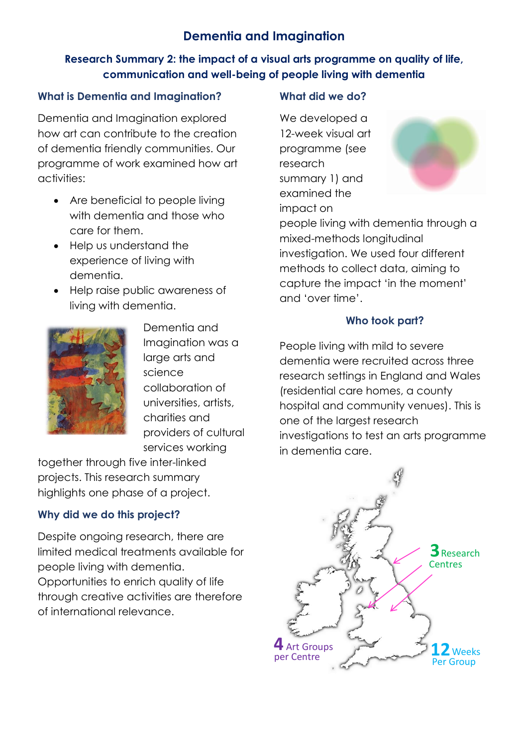# **Dementia and Imagination**

### **Research Summary 2: the impact of a visual arts programme on quality of life, communication and well-being of people living with dementia**

#### **What is Dementia and Imagination?**

Dementia and Imagination explored how art can contribute to the creation of dementia friendly communities. Our programme of work examined how art activities:

- Are beneficial to people living with dementia and those who care for them.
- Help us understand the experience of living with dementia.
- Help raise public awareness of living with dementia.



Dementia and Imagination was a large arts and science collaboration of universities, artists, charities and providers of cultural services working

together through five inter-linked projects. This research summary highlights one phase of a project.

## **Why did we do this project?**

Despite ongoing research, there are limited medical treatments available for people living with dementia. Opportunities to enrich quality of life through creative activities are therefore of international relevance.

#### **What did we do?**

We developed a 12-week visual art programme (see research summary 1) and examined the impact on



people living with dementia through a mixed-methods longitudinal investigation. We used four different methods to collect data, aiming to capture the impact 'in the moment' and 'over time'.

### **Who took part?**

People living with mild to severe dementia were recruited across three research settings in England and Wales (residential care homes, a county hospital and community venues). This is one of the largest research investigations to test an arts programme in dementia care.